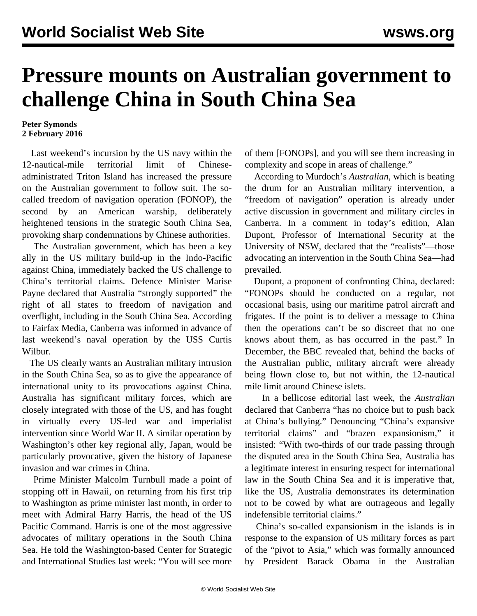## **Pressure mounts on Australian government to challenge China in South China Sea**

## **Peter Symonds 2 February 2016**

 Last weekend's incursion by the US navy within the 12-nautical-mile territorial limit of Chineseadministrated Triton Island has increased the pressure on the Australian government to follow suit. The socalled freedom of navigation operation (FONOP), the second by an American warship, deliberately heightened tensions in the strategic South China Sea, provoking sharp condemnations by Chinese authorities.

 The Australian government, which has been a key ally in the US military build-up in the Indo-Pacific against China, immediately backed the US challenge to China's territorial claims. Defence Minister Marise Payne declared that Australia "strongly supported" the right of all states to freedom of navigation and overflight, including in the South China Sea. According to Fairfax Media, Canberra was informed in advance of last weekend's naval operation by the USS Curtis Wilbur.

 The US clearly wants an Australian military intrusion in the South China Sea, so as to give the appearance of international unity to its provocations against China. Australia has significant military forces, which are closely integrated with those of the US, and has fought in virtually every US-led war and imperialist intervention since World War II. A similar operation by Washington's other key regional ally, Japan, would be particularly provocative, given the history of Japanese invasion and war crimes in China.

 Prime Minister Malcolm Turnbull made a point of stopping off in Hawaii, on returning from his first trip to Washington as prime minister last month, in order to meet with Admiral Harry Harris, the head of the US Pacific Command. Harris is one of the most aggressive advocates of military operations in the South China Sea. He told the Washington-based Center for Strategic and International Studies last week: "You will see more of them [FONOPs], and you will see them increasing in complexity and scope in areas of challenge."

 According to Murdoch's *Australian*, which is beating the drum for an Australian military intervention, a "freedom of navigation" operation is already under active discussion in government and military circles in Canberra. In a comment in today's edition, Alan Dupont, Professor of International Security at the University of NSW, declared that the "realists"—those advocating an intervention in the South China Sea—had prevailed.

 Dupont, a proponent of confronting China, declared: "FONOPs should be conducted on a regular, not occasional basis, using our maritime patrol aircraft and frigates. If the point is to deliver a message to China then the operations can't be so discreet that no one knows about them, as has occurred in the past." In December, the BBC revealed that, behind the backs of the Australian public, military aircraft were already being flown close to, but not within, the 12-nautical mile limit around Chinese islets.

 In a bellicose editorial last week, the *Australian* declared that Canberra "has no choice but to push back at China's bullying." Denouncing "China's expansive territorial claims" and "brazen expansionism," it insisted: "With two-thirds of our trade passing through the disputed area in the South China Sea, Australia has a legitimate interest in ensuring respect for international law in the South China Sea and it is imperative that, like the US, Australia demonstrates its determination not to be cowed by what are outrageous and legally indefensible territorial claims."

 China's so-called expansionism in the islands is in response to the expansion of US military forces as part of the "pivot to Asia," which was formally announced by President Barack Obama in the Australian